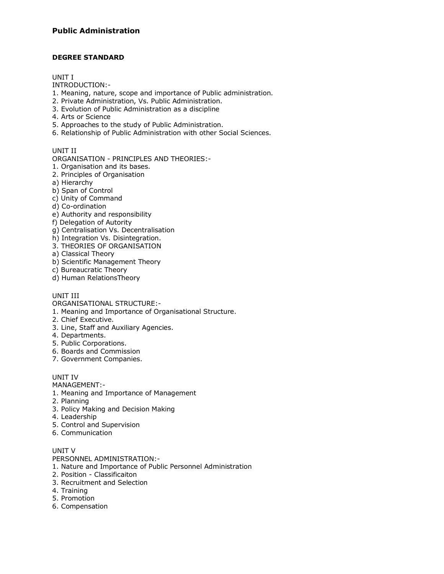# **DEGREE STANDARD**

#### UNIT I

INTRODUCTION:-

- 1. Meaning, nature, scope and importance of Public administration.
- 2. Private Administration, Vs. Public Administration.
- 3. Evolution of Public Administration as a discipline
- 4. Arts or Science
- 5. Approaches to the study of Public Administration.
- 6. Relationship of Public Administration with other Social Sciences.

# UNIT II

ORGANISATION - PRINCIPLES AND THEORIES:-

- 1. Organisation and its bases.
- 2. Principles of Organisation
- a) Hierarchy
- b) Span of Control
- c) Unity of Command
- d) Co-ordination
- e) Authority and responsibility
- f) Delegation of Autority
- g) Centralisation Vs. Decentralisation
- h) Integration Vs. Disintegration.
- 3. THEORIES OF ORGANISATION
- a) Classical Theory
- b) Scientific Management Theory
- c) Bureaucratic Theory
- d) Human RelationsTheory

# UNIT III

ORGANISATIONAL STRUCTURE:-

- 1. Meaning and Importance of Organisational Structure.
- 2. Chief Executive.
- 3. Line, Staff and Auxiliary Agencies.
- 4. Departments.
- 5. Public Corporations.
- 6. Boards and Commission
- 7. Government Companies.

## UNIT IV

MANAGEMENT:-

- 1. Meaning and Importance of Management
- 2. Planning
- 3. Policy Making and Decision Making
- 4. Leadership
- 5. Control and Supervision
- 6. Communication

# UNIT V

PERSONNEL ADMINISTRATION:-

- 1. Nature and Importance of Public Personnel Administration
- 2. Position Classificaiton
- 3. Recruitment and Selection
- 4. Training
- 5. Promotion
- 6. Compensation